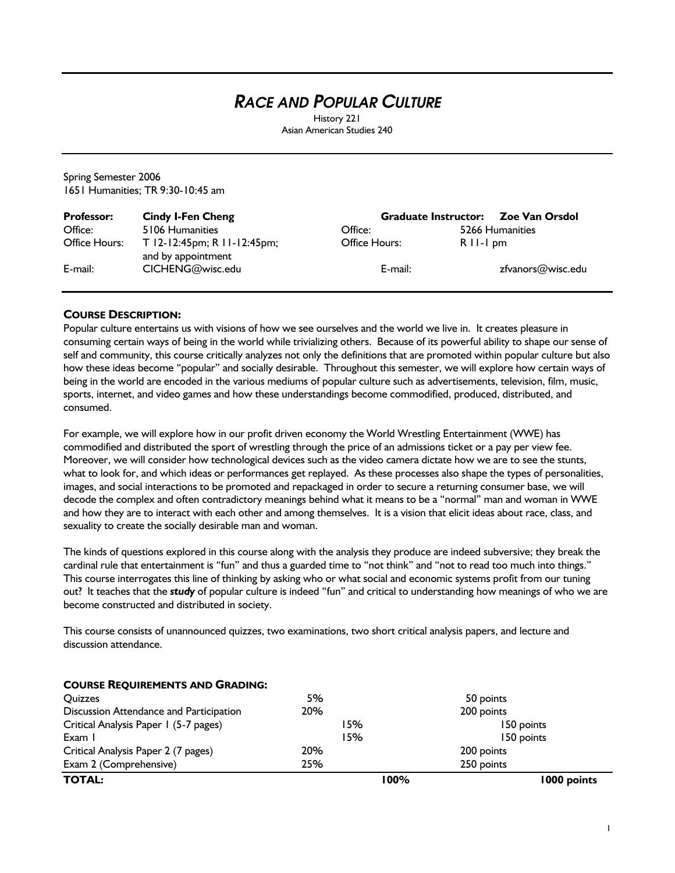# *RACE AND POPULAR CULTURE*

History 221 Asian American Studies 240

Spring Semester 2006 1651 Humanities; TR 9:30-10:45 am

| <b>Professor:</b> | <b>Cindy I-Fen Cheng</b>                          |               | Graduate Instructor: Zoe Van Orsdol |
|-------------------|---------------------------------------------------|---------------|-------------------------------------|
| Office:           | 5106 Humanities                                   | Office:       | 5266 Humanities                     |
| Office Hours:     | T 12-12:45pm; R 11-12:45pm;<br>and by appointment | Office Hours: | $R$ II-I pm                         |
| E-mail:           | CICHENG@wisc.edu                                  | E-mail:       | zfvanors@wisc.edu                   |

## **COURSE DESCRIPTION:**

Popular culture entertains us with visions of how we see ourselves and the world we live in. It creates pleasure in consuming certain ways of being in the world while trivializing others. Because of its powerful ability to shape our sense of self and community, this course critically analyzes not only the definitions that are promoted within popular culture but also how these ideas become "popular" and socially desirable. Throughout this semester, we will explore how certain ways of being in the world are encoded in the various mediums of popular culture such as advertisements, television, film, music, sports, internet, and video games and how these understandings become commodified, produced, distributed, and consumed.

For example, we will explore how in our profit driven economy the World Wrestling Entertainment (WWE) has commodified and distributed the sport of wrestling through the price of an admissions ticket or a pay per view fee. Moreover, we will consider how technological devices such as the video camera dictate how we are to see the stunts, what to look for, and which ideas or performances get replayed. As these processes also shape the types of personalities, images, and social interactions to be promoted and repackaged in order to secure a returning consumer base, we will decode the complex and often contradictory meanings behind what it means to be a "normal" man and woman in WWE and how they are to interact with each other and among themselves. It is a vision that elicit ideas about race, class, and sexuality to create the socially desirable man and woman.

The kinds of questions explored in this course along with the analysis they produce are indeed subversive; they break the cardinal rule that entertainment is "fun" and thus a guarded time to "not think" and "not to read too much into things." This course interrogates this line of thinking by asking who or what social and economic systems profit from our tuning out? It teaches that the *study* of popular culture is indeed "fun" and critical to understanding how meanings of who we are become constructed and distributed in society.

This course consists of unannounced quizzes, two examinations, two short critical analysis papers, and lecture and discussion attendance.

| <b>COURSE REQUIREMENTS AND GRADING:</b>        |      |             |
|------------------------------------------------|------|-------------|
| <b>Ouizzes</b>                                 | 5%   | 50 points   |
| <b>Discussion Attendance and Participation</b> | 20%  | 200 points  |
| Critical Analysis Paper 1 (5-7 pages)          | 15%  | 150 points  |
| Exam I                                         | 15%  | 150 points  |
| Critical Analysis Paper 2 (7 pages)            | 20%  | 200 points  |
| Exam 2 (Comprehensive)                         | 25%  | 250 points  |
| <b>TOTAL:</b>                                  | 100% | 1000 points |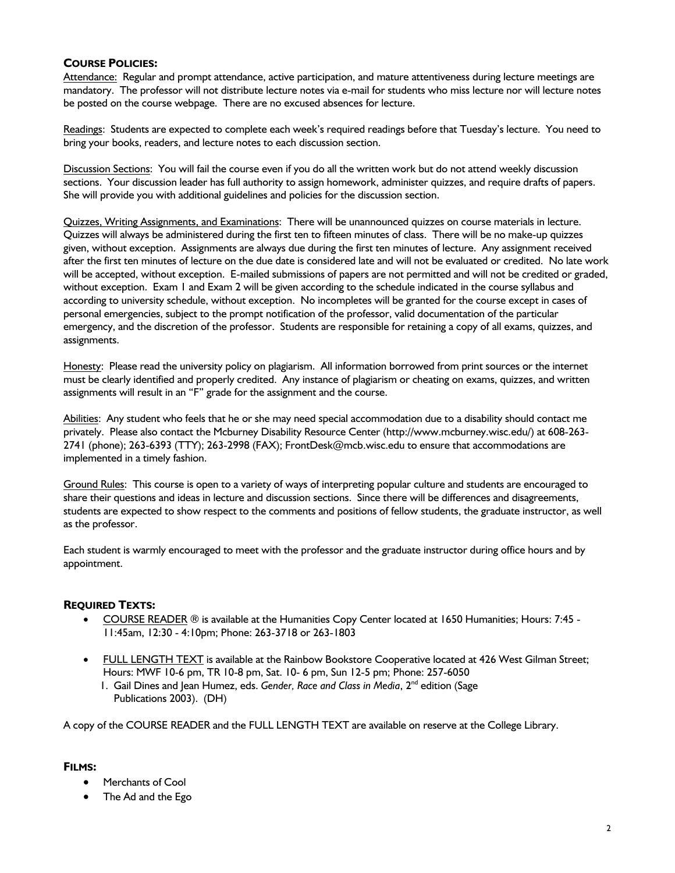## **COURSE POLICIES:**

Attendance: Regular and prompt attendance, active participation, and mature attentiveness during lecture meetings are mandatory. The professor will not distribute lecture notes via e-mail for students who miss lecture nor will lecture notes be posted on the course webpage. There are no excused absences for lecture.

Readings: Students are expected to complete each week's required readings before that Tuesday's lecture. You need to bring your books, readers, and lecture notes to each discussion section.

Discussion Sections: You will fail the course even if you do all the written work but do not attend weekly discussion sections. Your discussion leader has full authority to assign homework, administer quizzes, and require drafts of papers. She will provide you with additional guidelines and policies for the discussion section.

Quizzes, Writing Assignments, and Examinations: There will be unannounced quizzes on course materials in lecture. Quizzes will always be administered during the first ten to fifteen minutes of class. There will be no make-up quizzes given, without exception. Assignments are always due during the first ten minutes of lecture. Any assignment received after the first ten minutes of lecture on the due date is considered late and will not be evaluated or credited. No late work will be accepted, without exception. E-mailed submissions of papers are not permitted and will not be credited or graded, without exception. Exam 1 and Exam 2 will be given according to the schedule indicated in the course syllabus and according to university schedule, without exception. No incompletes will be granted for the course except in cases of personal emergencies, subject to the prompt notification of the professor, valid documentation of the particular emergency, and the discretion of the professor. Students are responsible for retaining a copy of all exams, quizzes, and assignments.

Honesty: Please read the university policy on plagiarism. All information borrowed from print sources or the internet must be clearly identified and properly credited. Any instance of plagiarism or cheating on exams, quizzes, and written assignments will result in an "F" grade for the assignment and the course.

Abilities: Any student who feels that he or she may need special accommodation due to a disability should contact me privately. Please also contact the Mcburney Disability Resource Center (http://www.mcburney.wisc.edu/) at 608-263- 2741 (phone); 263-6393 (TTY); 263-2998 (FAX); FrontDesk@mcb.wisc.edu to ensure that accommodations are implemented in a timely fashion.

Ground Rules: This course is open to a variety of ways of interpreting popular culture and students are encouraged to share their questions and ideas in lecture and discussion sections. Since there will be differences and disagreements, students are expected to show respect to the comments and positions of fellow students, the graduate instructor, as well as the professor.

Each student is warmly encouraged to meet with the professor and the graduate instructor during office hours and by appointment.

### **REQUIRED TEXTS:**

- COURSE READER ® is available at the Humanities Copy Center located at 1650 Humanities; Hours: 7:45 11:45am, 12:30 - 4:10pm; Phone: 263-3718 or 263-1803
- FULL LENGTH TEXT is available at the Rainbow Bookstore Cooperative located at 426 West Gilman Street; Hours: MWF 10-6 pm, TR 10-8 pm, Sat. 10- 6 pm, Sun 12-5 pm; Phone: 257-6050
	- 1. Gail Dines and Jean Humez, eds. *Gender, Race and Class in Media*, 2<sup>nd</sup> edition (Sage Publications 2003). (DH)

A copy of the COURSE READER and the FULL LENGTH TEXT are available on reserve at the College Library.

# **FILMS:**

- Merchants of Cool
- The Ad and the Ego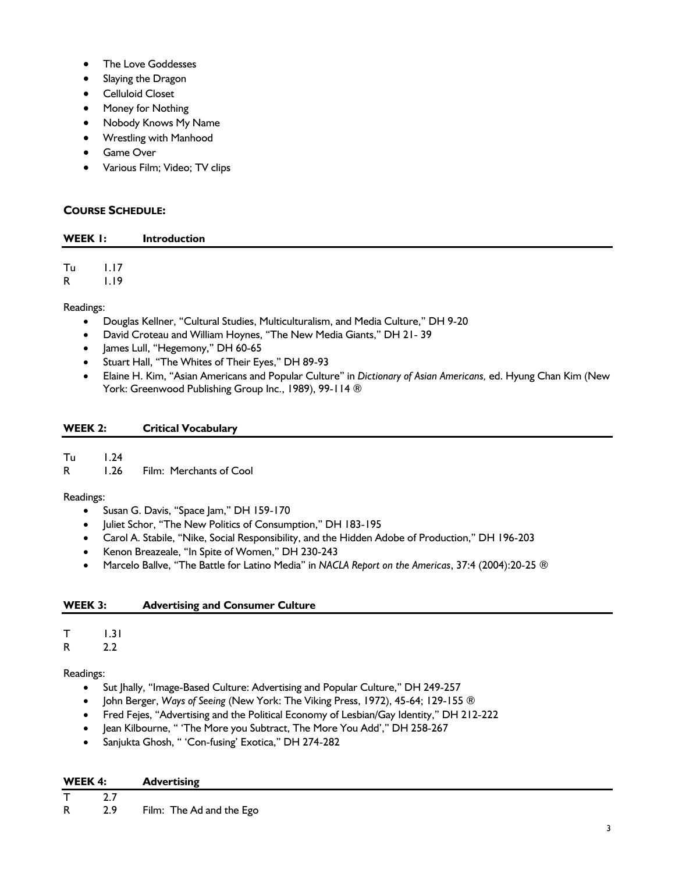- The Love Goddesses
- Slaying the Dragon
- Celluloid Closet
- Money for Nothing
- Nobody Knows My Name
- Wrestling with Manhood
- Game Over
- Various Film; Video; TV clips

# **COURSE SCHEDULE:**

### **WEEK 1: Introduction**

Tu 1.17 R 1.19

Readings:

- Douglas Kellner, "Cultural Studies, Multiculturalism, and Media Culture," DH 9-20
- David Croteau and William Hoynes, "The New Media Giants," DH 21- 39
- James Lull, "Hegemony," DH 60-65
- Stuart Hall, "The Whites of Their Eyes," DH 89-93
- Elaine H. Kim, "Asian Americans and Popular Culture" in *Dictionary of Asian Americans,* ed. Hyung Chan Kim (New York: Greenwood Publishing Group Inc., 1989), 99-114 ®

# **WEEK 2: Critical Vocabulary**

Tu 1.24

R 1.26 Film: Merchants of Cool

# Readings:

- Susan G. Davis, "Space Jam," DH 159-170
- Juliet Schor, "The New Politics of Consumption," DH 183-195
- Carol A. Stabile, "Nike, Social Responsibility, and the Hidden Adobe of Production," DH 196-203
- Kenon Breazeale, "In Spite of Women," DH 230-243
- Marcelo Ballve, "The Battle for Latino Media" in *NACLA Report on the Americas*, 37:4 (2004):20-25 ®

# **WEEK 3: Advertising and Consumer Culture**

| I |
|---|
|   |

R 2.2

Readings:

- Sut Jhally, "Image-Based Culture: Advertising and Popular Culture," DH 249-257
- John Berger, *Ways of Seeing* (New York: The Viking Press, 1972), 45-64; 129-155 ®
- Fred Fejes, "Advertising and the Political Economy of Lesbian/Gay Identity," DH 212-222
- Jean Kilbourne, " 'The More you Subtract, The More You Add'," DH 258-267
- Sanjukta Ghosh, " 'Con-fusing' Exotica," DH 274-282

| WEEK 4: |     | Advertising              |  |
|---------|-----|--------------------------|--|
|         |     |                          |  |
| R       | 2.9 | Film: The Ad and the Ego |  |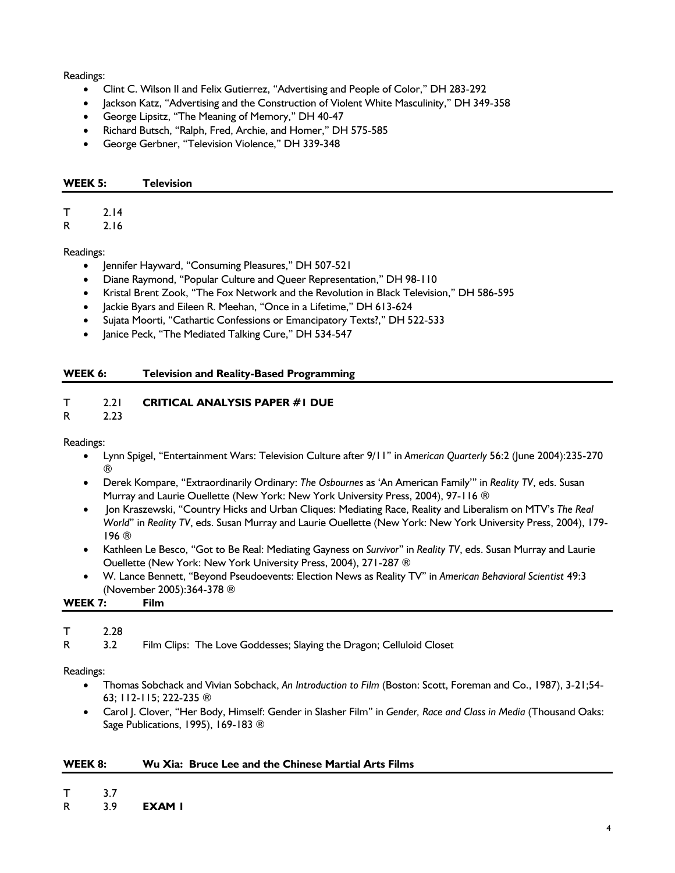Readings:

- Clint C. Wilson II and Felix Gutierrez, "Advertising and People of Color," DH 283-292
- Jackson Katz, "Advertising and the Construction of Violent White Masculinity," DH 349-358
- George Lipsitz, "The Meaning of Memory," DH 40-47
- Richard Butsch, "Ralph, Fred, Archie, and Homer," DH 575-585
- George Gerbner, "Television Violence," DH 339-348

#### **WEEK 5: Television**

# T 2.14

R 2.16

Readings:

- Jennifer Hayward, "Consuming Pleasures," DH 507-521
- Diane Raymond, "Popular Culture and Queer Representation," DH 98-110
- Kristal Brent Zook, "The Fox Network and the Revolution in Black Television," DH 586-595
- Jackie Byars and Eileen R. Meehan, "Once in a Lifetime," DH 613-624
- Sujata Moorti, "Cathartic Confessions or Emancipatory Texts?," DH 522-533
- Janice Peck, "The Mediated Talking Cure," DH 534-547

### **WEEK 6: Television and Reality-Based Programming**

## T 2.21 **CRITICAL ANALYSIS PAPER #1 DUE**

R 2.23

Readings:

- Lynn Spigel, "Entertainment Wars: Television Culture after 9/11" in *American Quarterly* 56:2 (June 2004):235-270 ®
- Derek Kompare, "Extraordinarily Ordinary: *The Osbournes* as 'An American Family'" in *Reality TV*, eds. Susan Murray and Laurie Ouellette (New York: New York University Press, 2004), 97-116 ®
- Jon Kraszewski, "Country Hicks and Urban Cliques: Mediating Race, Reality and Liberalism on MTV's *The Real World*" in *Reality TV*, eds. Susan Murray and Laurie Ouellette (New York: New York University Press, 2004), 179- 196 ®
- Kathleen Le Besco, "Got to Be Real: Mediating Gayness on *Survivor*" in *Reality TV*, eds. Susan Murray and Laurie Ouellette (New York: New York University Press, 2004), 271-287 ®
- W. Lance Bennett, "Beyond Pseudoevents: Election News as Reality TV" in *American Behavioral Scientist* 49:3 (November 2005):364-378 ®

**WEEK 7: Film** 

### T 2.28

R 3.2 Film Clips: The Love Goddesses; Slaying the Dragon; Celluloid Closet

Readings:

- Thomas Sobchack and Vivian Sobchack, *An Introduction to Film* (Boston: Scott, Foreman and Co., 1987), 3-21;54- 63; 112-115; 222-235 ®
- Carol J. Clover, "Her Body, Himself: Gender in Slasher Film" in *Gender, Race and Class in Media* (Thousand Oaks: Sage Publications, 1995), 169-183 ®

### **WEEK 8: Wu Xia: Bruce Lee and the Chinese Martial Arts Films**

T 3.7

R 3.9 **EXAM 1**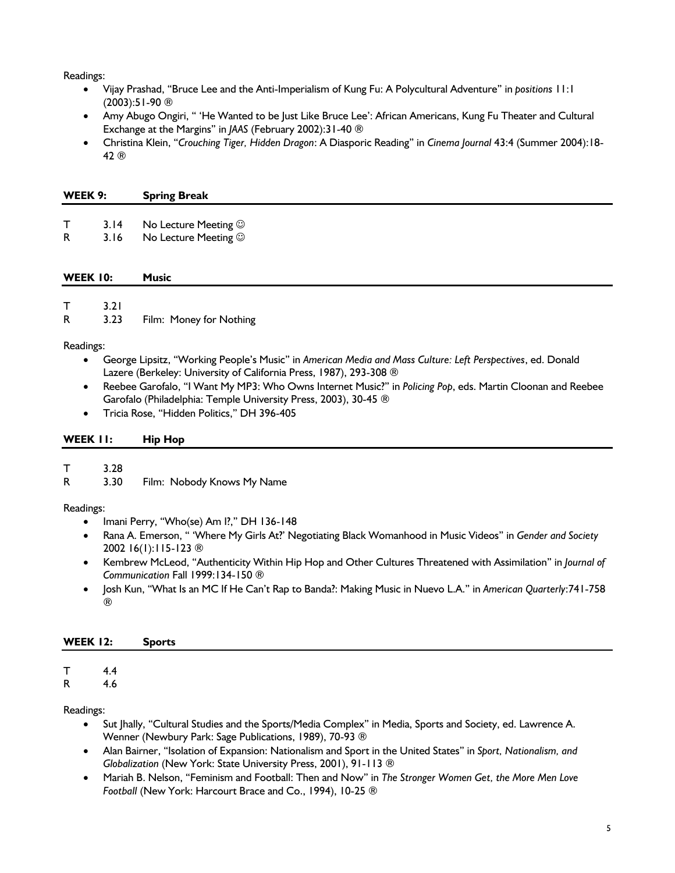Readings:

- Vijay Prashad, "Bruce Lee and the Anti-Imperialism of Kung Fu: A Polycultural Adventure" in *positions* 11:1 (2003):51-90 ®
- Amy Abugo Ongiri, " 'He Wanted to be Just Like Bruce Lee': African Americans, Kung Fu Theater and Cultural Exchange at the Margins" in *JAAS* (February 2002):31-40 ®
- Christina Klein, "*Crouching Tiger, Hidden Dragon*: A Diasporic Reading" in *Cinema Journal* 43:4 (Summer 2004):18- 42 ®

|  | WEEK 9: |  | <b>Spring Break</b> |  |
|--|---------|--|---------------------|--|
|--|---------|--|---------------------|--|

- T 3.14 No Lecture Meeting  $\odot$
- R 3.16 No Lecture Meeting  $\odot$

#### **WEEK 10: Music**

T 3.21 R 3.23 Film: Money for Nothing

Readings:

- George Lipsitz, "Working People's Music" in *American Media and Mass Culture: Left Perspectives*, ed. Donald Lazere (Berkeley: University of California Press, 1987), 293-308 ®
- Reebee Garofalo, "I Want My MP3: Who Owns Internet Music?" in *Policing Pop*, eds. Martin Cloonan and Reebee Garofalo (Philadelphia: Temple University Press, 2003), 30-45 ®
- Tricia Rose, "Hidden Politics," DH 396-405

#### **WEEK 11: Hip Hop**

T 3.28

R 3.30 Film: Nobody Knows My Name

### Readings:

- Imani Perry, "Who(se) Am I?," DH 136-148
- Rana A. Emerson, " 'Where My Girls At?' Negotiating Black Womanhood in Music Videos" in *Gender and Society* 2002 16(1):115-123 ®
- Kembrew McLeod, "Authenticity Within Hip Hop and Other Cultures Threatened with Assimilation" in *Journal of Communication* Fall 1999:134-150 ®
- Josh Kun, "What Is an MC If He Can't Rap to Banda?: Making Music in Nuevo L.A." in *American Quarterly*:741-758 ®

### **WEEK 12: Sports**

#### T 4.4 R 4.6

Readings:

- Sut Jhally, "Cultural Studies and the Sports/Media Complex" in Media, Sports and Society, ed. Lawrence A. Wenner (Newbury Park: Sage Publications, 1989), 70-93 ®
- Alan Bairner, "Isolation of Expansion: Nationalism and Sport in the United States" in *Sport, Nationalism, and Globalization* (New York: State University Press, 2001), 91-113 ®
- Mariah B. Nelson, "Feminism and Football: Then and Now" in *The Stronger Women Get, the More Men Love Football* (New York: Harcourt Brace and Co., 1994), 10-25 ®